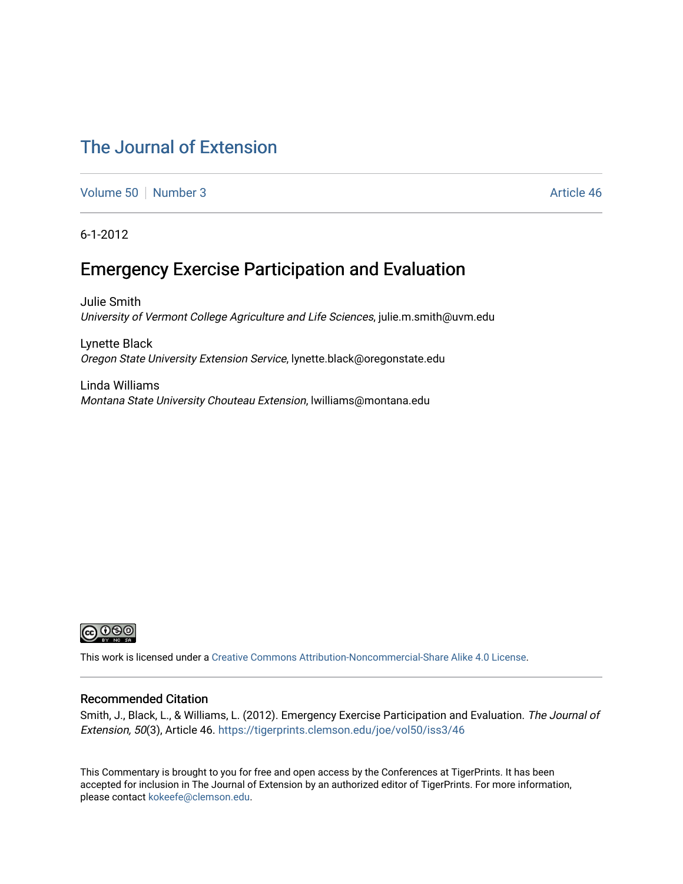# [The Journal of Extension](https://tigerprints.clemson.edu/joe)

[Volume 50](https://tigerprints.clemson.edu/joe/vol50) [Number 3](https://tigerprints.clemson.edu/joe/vol50/iss3) Article 46

6-1-2012

# Emergency Exercise Participation and Evaluation

Julie Smith University of Vermont College Agriculture and Life Sciences, julie.m.smith@uvm.edu

Lynette Black Oregon State University Extension Service, lynette.black@oregonstate.edu

Linda Williams Montana State University Chouteau Extension, lwilliams@montana.edu



This work is licensed under a [Creative Commons Attribution-Noncommercial-Share Alike 4.0 License.](https://creativecommons.org/licenses/by-nc-sa/4.0/)

## Recommended Citation

Smith, J., Black, L., & Williams, L. (2012). Emergency Exercise Participation and Evaluation. The Journal of Extension, 50(3), Article 46. <https://tigerprints.clemson.edu/joe/vol50/iss3/46>

This Commentary is brought to you for free and open access by the Conferences at TigerPrints. It has been accepted for inclusion in The Journal of Extension by an authorized editor of TigerPrints. For more information, please contact [kokeefe@clemson.edu](mailto:kokeefe@clemson.edu).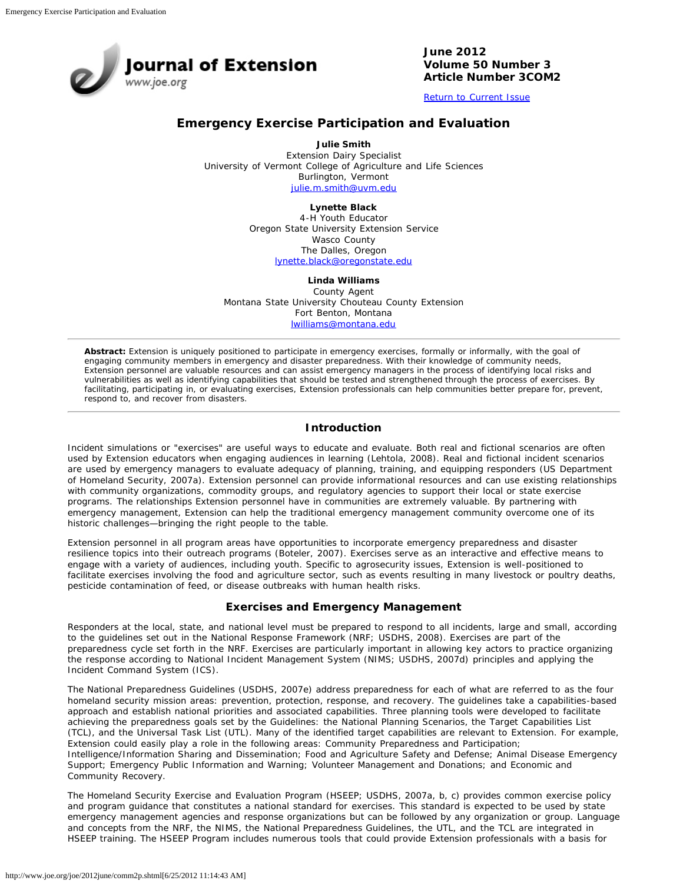

**June 2012 Volume 50 Number 3 Article Number 3COM2**

[Return to Current Issue](http://www.joe.org/joe/2012june/)

## **Emergency Exercise Participation and Evaluation**

**Julie Smith** Extension Dairy Specialist University of Vermont College of Agriculture and Life Sciences Burlington, Vermont [julie.m.smith@uvm.edu](mailto:julie.m.smith@uvm.edu)

**Lynette Black**

4-H Youth Educator Oregon State University Extension Service Wasco County The Dalles, Oregon [lynette.black@oregonstate.edu](mailto:lynette.black@oregonstate.edu)

**Linda Williams**

County Agent Montana State University Chouteau County Extension Fort Benton, Montana [lwilliams@montana.edu](mailto:lwilliams@montana.edu)

*Abstract: Extension is uniquely positioned to participate in emergency exercises, formally or informally, with the goal of engaging community members in emergency and disaster preparedness. With their knowledge of community needs, Extension personnel are valuable resources and can assist emergency managers in the process of identifying local risks and vulnerabilities as well as identifying capabilities that should be tested and strengthened through the process of exercises. By facilitating, participating in, or evaluating exercises, Extension professionals can help communities better prepare for, prevent, respond to, and recover from disasters.*

## **Introduction**

Incident simulations or "exercises" are useful ways to educate and evaluate. Both real and fictional scenarios are often used by Extension educators when engaging audiences in learning (Lehtola, 2008). Real and fictional incident scenarios are used by emergency managers to evaluate adequacy of planning, training, and equipping responders (US Department of Homeland Security, 2007a). Extension personnel can provide informational resources and can use existing relationships with community organizations, commodity groups, and regulatory agencies to support their local or state exercise programs. The relationships Extension personnel have in communities are extremely valuable. By partnering with emergency management, Extension can help the traditional emergency management community overcome one of its historic challenges—bringing the right people to the table.

Extension personnel in all program areas have opportunities to incorporate emergency preparedness and disaster resilience topics into their outreach programs (Boteler, 2007). Exercises serve as an interactive and effective means to engage with a variety of audiences, including youth. Specific to agrosecurity issues, Extension is well-positioned to facilitate exercises involving the food and agriculture sector, such as events resulting in many livestock or poultry deaths, pesticide contamination of feed, or disease outbreaks with human health risks.

### **Exercises and Emergency Management**

Responders at the local, state, and national level must be prepared to respond to all incidents, large and small, according to the guidelines set out in the National Response Framework (NRF; USDHS, 2008). Exercises are part of the preparedness cycle set forth in the NRF. Exercises are particularly important in allowing key actors to practice organizing the response according to National Incident Management System (NIMS; USDHS, 2007d) principles and applying the Incident Command System (ICS).

The National Preparedness Guidelines (USDHS, 2007e) address preparedness for each of what are referred to as the four homeland security mission areas: prevention, protection, response, and recovery. The guidelines take a capabilities-based approach and establish national priorities and associated capabilities. Three planning tools were developed to facilitate achieving the preparedness goals set by the Guidelines: the National Planning Scenarios, the Target Capabilities List (TCL), and the Universal Task List (UTL). Many of the identified target capabilities are relevant to Extension. For example, Extension could easily play a role in the following areas: Community Preparedness and Participation; Intelligence/Information Sharing and Dissemination; Food and Agriculture Safety and Defense; Animal Disease Emergency Support; Emergency Public Information and Warning; Volunteer Management and Donations; and Economic and Community Recovery.

The Homeland Security Exercise and Evaluation Program (HSEEP; USDHS, 2007a, b, c) provides common exercise policy and program guidance that constitutes a national standard for exercises. This standard is expected to be used by state emergency management agencies and response organizations but can be followed by any organization or group. Language and concepts from the NRF, the NIMS, the National Preparedness Guidelines, the UTL, and the TCL are integrated in HSEEP training. The HSEEP Program includes numerous tools that could provide Extension professionals with a basis for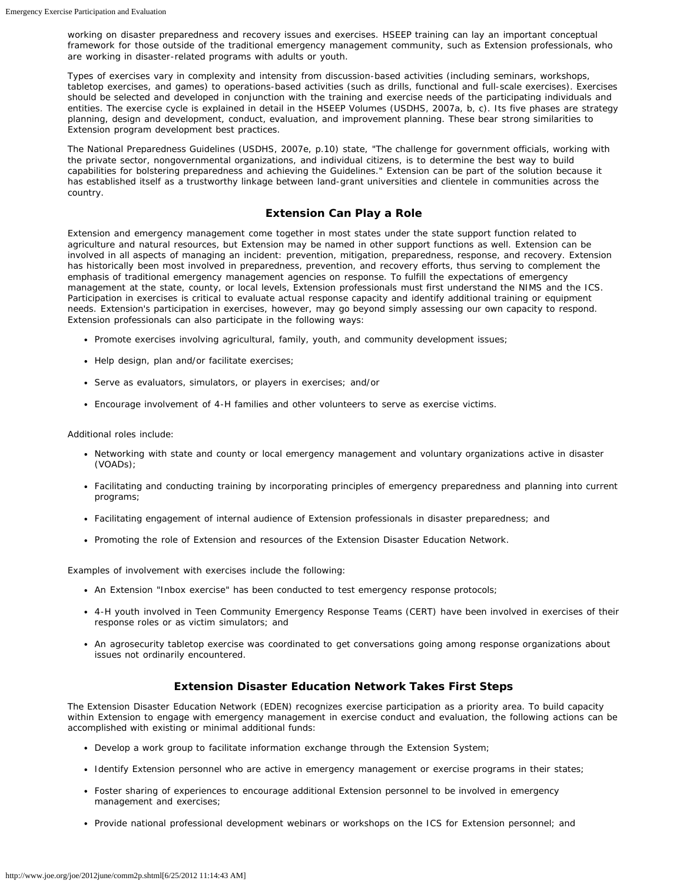working on disaster preparedness and recovery issues and exercises. HSEEP training can lay an important conceptual framework for those outside of the traditional emergency management community, such as Extension professionals, who are working in disaster-related programs with adults or youth.

Types of exercises vary in complexity and intensity from discussion-based activities (including seminars, workshops, tabletop exercises, and games) to operations-based activities (such as drills, functional and full-scale exercises). Exercises should be selected and developed in conjunction with the training and exercise needs of the participating individuals and entities. The exercise cycle is explained in detail in the HSEEP Volumes (USDHS, 2007a, b, c). Its five phases are strategy planning, design and development, conduct, evaluation, and improvement planning. These bear strong similarities to Extension program development best practices.

The National Preparedness Guidelines (USDHS, 2007e, p.10) state, "The challenge for government officials, working with the private sector, nongovernmental organizations, and individual citizens, is to determine the best way to build capabilities for bolstering preparedness and achieving the Guidelines." Extension can be part of the solution because it has established itself as a trustworthy linkage between land-grant universities and clientele in communities across the country.

#### **Extension Can Play a Role**

Extension and emergency management come together in most states under the state support function related to agriculture and natural resources, but Extension may be named in other support functions as well. Extension can be involved in all aspects of managing an incident: prevention, mitigation, preparedness, response, and recovery. Extension has historically been most involved in preparedness, prevention, and recovery efforts, thus serving to complement the emphasis of traditional emergency management agencies on response. To fulfill the expectations of emergency management at the state, county, or local levels, Extension professionals must first understand the NIMS and the ICS. Participation in exercises is critical to evaluate actual response capacity and identify additional training or equipment needs. Extension's participation in exercises, however, may go beyond simply assessing our own capacity to respond. Extension professionals can also participate in the following ways:

- Promote exercises involving agricultural, family, youth, and community development issues;
- Help design, plan and/or facilitate exercises;
- Serve as evaluators, simulators, or players in exercises; and/or
- Encourage involvement of 4-H families and other volunteers to serve as exercise victims.

Additional roles include:

- Networking with state and county or local emergency management and voluntary organizations active in disaster (VOADs);
- Facilitating and conducting training by incorporating principles of emergency preparedness and planning into current programs;
- Facilitating engagement of internal audience of Extension professionals in disaster preparedness; and
- Promoting the role of Extension and resources of the Extension Disaster Education Network.

Examples of involvement with exercises include the following:

- An Extension "Inbox exercise" has been conducted to test emergency response protocols;
- 4-H youth involved in Teen Community Emergency Response Teams (CERT) have been involved in exercises of their response roles or as victim simulators; and
- An agrosecurity tabletop exercise was coordinated to get conversations going among response organizations about issues not ordinarily encountered.

### **Extension Disaster Education Network Takes First Steps**

The Extension Disaster Education Network (EDEN) recognizes exercise participation as a priority area. To build capacity within Extension to engage with emergency management in exercise conduct and evaluation, the following actions can be accomplished with existing or minimal additional funds:

- Develop a work group to facilitate information exchange through the Extension System;
- Identify Extension personnel who are active in emergency management or exercise programs in their states;
- Foster sharing of experiences to encourage additional Extension personnel to be involved in emergency management and exercises;
- Provide national professional development webinars or workshops on the ICS for Extension personnel; and